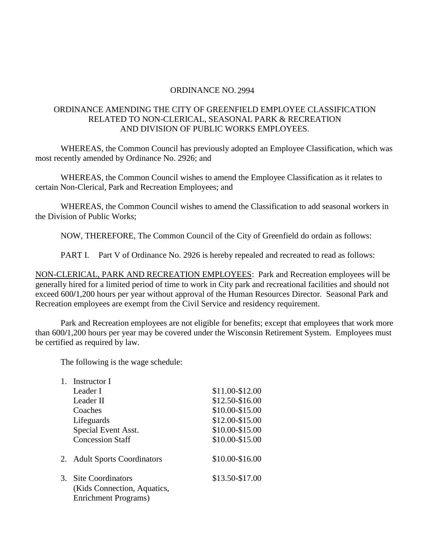## ORDINANCE NO. 2994

## ORDINANCE AMENDING THE CITY OF GREENFIELD EMPLOYEE CLASSIFICATION RELATED TO NON-CLERICAL, SEASONAL PARK & RECREATION AND DIVISION OF PUBLIC WORKS EMPLOYEES.

WHEREAS, the Common Council has previously adopted an Employee Classification, which was most recently amended by Ordinance No. 2926; and

WHEREAS, the Common Council wishes to amend the Employee Classification as it relates to certain Non-Clerical, Park and Recreation Employees; and

WHEREAS, the Common Council wishes to amend the Classification to add seasonal workers in the Division of Public Works;

NOW, THEREFORE, The Common Council of the City of Greenfield do ordain as follows:

PART I. Part V of Ordinance No. 2926 is hereby repealed and recreated to read as follows:

NON-CLERICAL, PARK AND RECREATION EMPLOYEES: Park and Recreation employees will be generally hired for a limited period of time to work in City park and recreational facilities and should not exceed 600**/**1,200 hours per year without approval of the Human Resources Director. Seasonal Park and Recreation employees are exempt from the Civil Service and residency requirement.

Park and Recreation employees are not eligible for benefits; except that employees that work more than 600**/**1,200 hours per year may be covered under the Wisconsin Retirement System. Employees must be certified as required by law.

The following is the wage schedule:

| $1_{-}$ | Instructor I                                            |                 |
|---------|---------------------------------------------------------|-----------------|
|         | Leader I                                                | \$11.00-\$12.00 |
|         | Leader II                                               | \$12.50-\$16.00 |
|         | Coaches                                                 | \$10.00-\$15.00 |
|         | Lifeguards                                              | \$12.00-\$15.00 |
|         | Special Event Asst.                                     | \$10.00-\$15.00 |
|         | <b>Concession Staff</b>                                 | \$10.00-\$15.00 |
|         | 2. Adult Sports Coordinators                            | \$10.00-\$16.00 |
| 3.      | <b>Site Coordinators</b><br>(Kids Connection, Aquatics, | \$13.50-\$17.00 |
|         | Enrichment Programs)                                    |                 |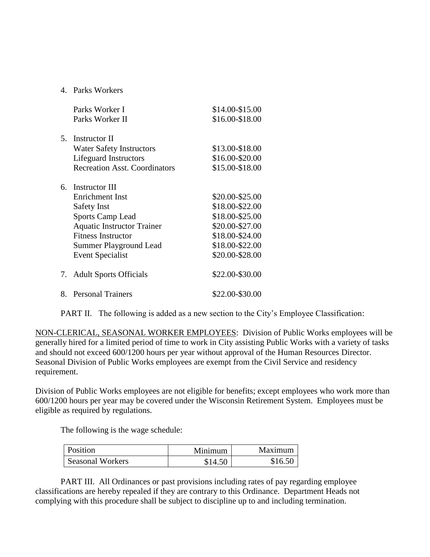## 4. Parks Workers

|    | Parks Worker I                       | \$14.00-\$15.00 |
|----|--------------------------------------|-----------------|
|    | Parks Worker II                      | \$16.00-\$18.00 |
| 5. | Instructor II                        |                 |
|    | <b>Water Safety Instructors</b>      | \$13.00-\$18.00 |
|    | Lifeguard Instructors                | \$16.00-\$20.00 |
|    | <b>Recreation Asst. Coordinators</b> | \$15.00-\$18.00 |
| 6. | Instructor III                       |                 |
|    | Enrichment Inst                      | \$20.00-\$25.00 |
|    | <b>Safety Inst</b>                   | \$18.00-\$22.00 |
|    | <b>Sports Camp Lead</b>              | \$18.00-\$25.00 |
|    | <b>Aquatic Instructor Trainer</b>    | \$20.00-\$27.00 |
|    | <b>Fitness Instructor</b>            | \$18.00-\$24.00 |
|    | Summer Playground Lead               | \$18.00-\$22.00 |
|    | <b>Event Specialist</b>              | \$20.00-\$28.00 |
| 7. | <b>Adult Sports Officials</b>        | \$22.00-\$30.00 |
| 8. | <b>Personal Trainers</b>             | \$22.00-\$30.00 |

PART II. The following is added as a new section to the City's Employee Classification:

NON-CLERICAL, SEASONAL WORKER EMPLOYEES: Division of Public Works employees will be generally hired for a limited period of time to work in City assisting Public Works with a variety of tasks and should not exceed 600/1200 hours per year without approval of the Human Resources Director. Seasonal Division of Public Works employees are exempt from the Civil Service and residency requirement.

Division of Public Works employees are not eligible for benefits; except employees who work more than 600/1200 hours per year may be covered under the Wisconsin Retirement System. Employees must be eligible as required by regulations.

The following is the wage schedule:

| Position                | Minimum | Maximum |
|-------------------------|---------|---------|
| <b>Seasonal Workers</b> | \$14.50 | \$16.50 |

PART III. All Ordinances or past provisions including rates of pay regarding employee classifications are hereby repealed if they are contrary to this Ordinance. Department Heads not complying with this procedure shall be subject to discipline up to and including termination.